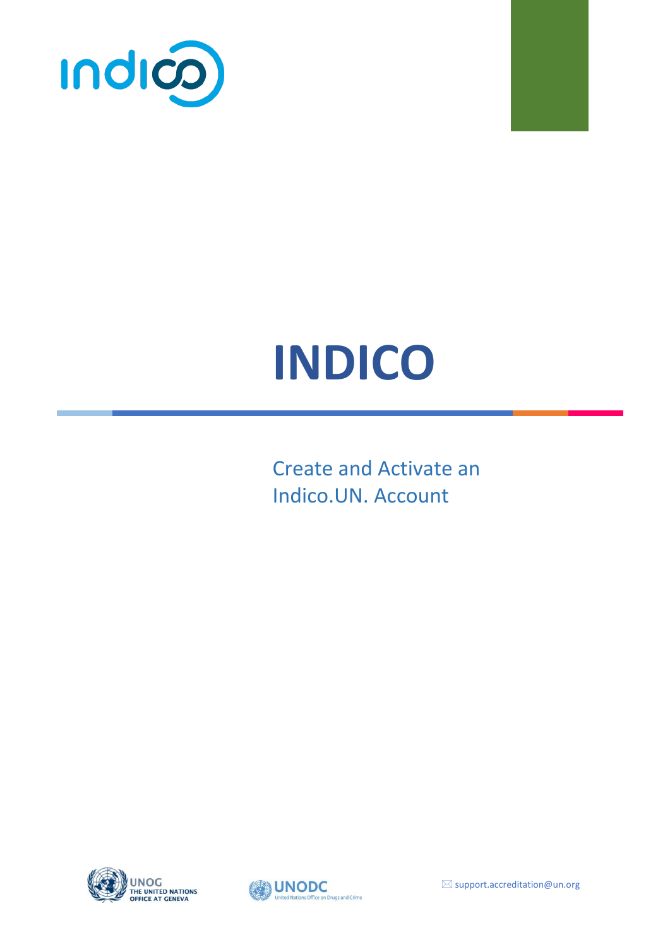



# **INDICO**

Create and Activate an Indico.UN. Account



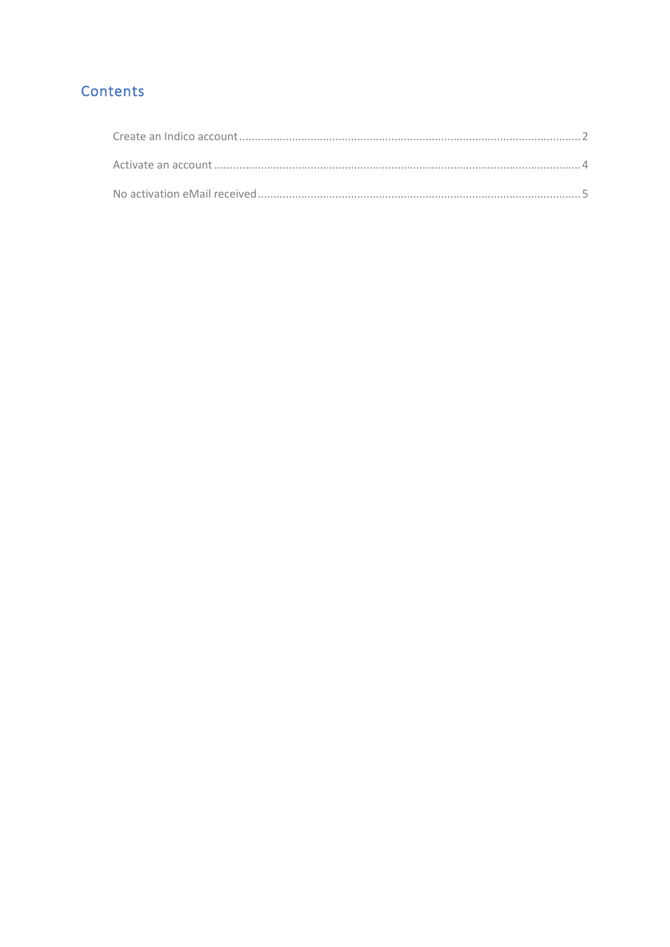## Contents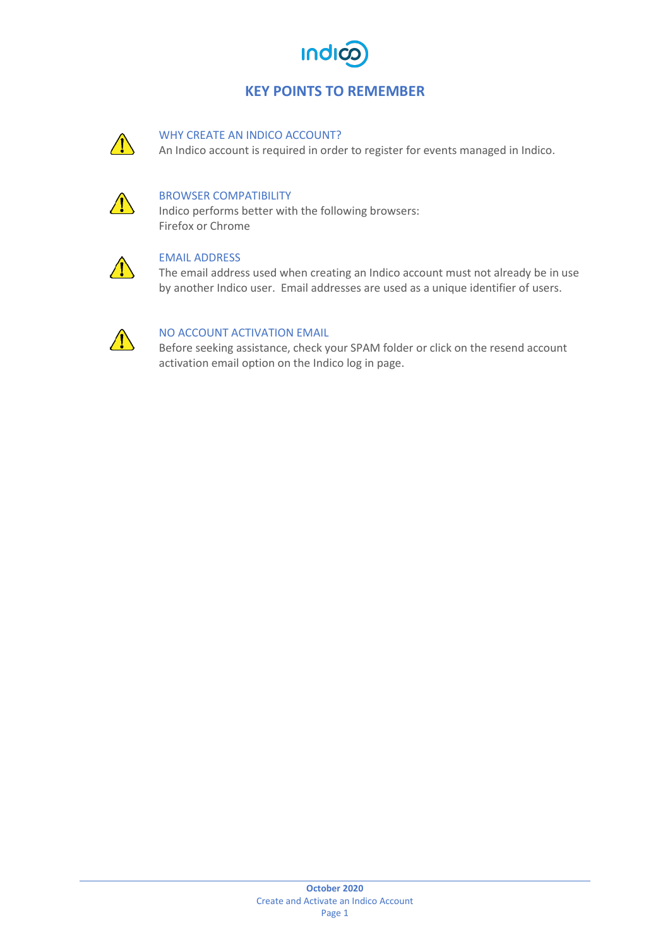

### **KEY POINTS TO REMEMBER**



#### WHY CREATE AN INDICO ACCOUNT?

An Indico account is required in order to register for events managed in Indico.



#### BROWSER COMPATIBILITY

Indico performs better with the following browsers: Firefox or Chrome



#### EMAIL ADDRESS

The email address used when creating an Indico account must not already be in use by another Indico user. Email addresses are used as a unique identifier of users.



#### NO ACCOUNT ACTIVATION EMAIL

Before seeking assistance, check your SPAM folder or click on the resend account activation email option on the Indico log in page.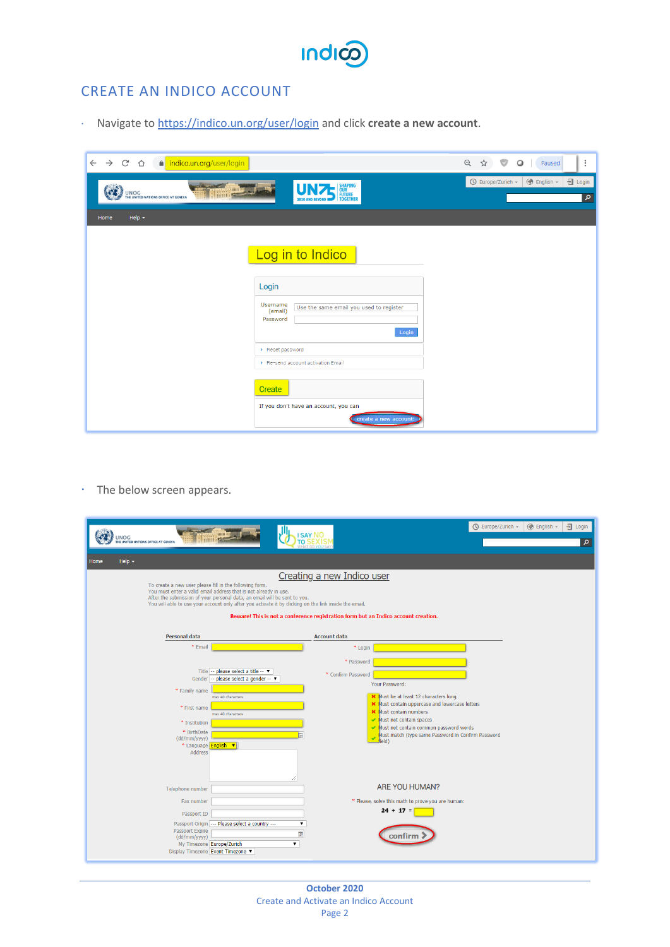

## <span id="page-3-0"></span>CREATE AN INDICO ACCOUNT

Navigate to <https://indico.un.org/user/login> and click **create a new account**.

| $\leftarrow$ $\rightarrow$ C $\Omega$<br>a indico.un.org/user/login          |                                                                                                                  | $\begin{matrix} \mathbb{Q} & \mathbb{Q} & \mathbb{Q} \end{matrix}$<br>$\vdots$<br>$\circ$<br>Paused |
|------------------------------------------------------------------------------|------------------------------------------------------------------------------------------------------------------|-----------------------------------------------------------------------------------------------------|
| the second second series of<br>$UNOG$<br>THE UNITED NATIONS OFFICE AT GENEVA | <b>UNITED SHAPING</b><br>2020 AND BEYOND <b>DESCRIPTION</b>                                                      | <b>O</b> English v<br>$\overline{\mathbf{a}}$ Login<br>$\bigcirc$ Europe/Zurich $\star$<br>م        |
| Help $\star$<br>Home                                                         |                                                                                                                  |                                                                                                     |
|                                                                              | Log in to Indico<br>Login<br>Username<br>Use the same email you used to register<br>(email)<br>Password<br>Login |                                                                                                     |
|                                                                              | ▶ Reset password<br>Re-send account activation Email                                                             |                                                                                                     |
|                                                                              | Create<br>If you don't have an account, you can<br>create a new account!                                         |                                                                                                     |

 $\cdot$  The below screen appears.

| UNOG<br>THE UNITED NATIONS OFFICE AT GENEVA<br>Help $\sim$<br>Home<br>To create a new user please fill in the following form.<br>You must enter a valid email address that is not already in use.<br>After the submission of your personal data, an email will be sent to you. | <b>SAY NO</b><br>Creating a new Indico user<br>You will able to use your account only after you activate it by clicking on the link inside the email.<br>Beware! This is not a conference registration form but an Indico account creation.                                  | $\bigcirc$ Europe/Zurich $\sim$<br>$\circledR$ English $\sim$<br><i></i> Login<br>م |
|--------------------------------------------------------------------------------------------------------------------------------------------------------------------------------------------------------------------------------------------------------------------------------|------------------------------------------------------------------------------------------------------------------------------------------------------------------------------------------------------------------------------------------------------------------------------|-------------------------------------------------------------------------------------|
|                                                                                                                                                                                                                                                                                |                                                                                                                                                                                                                                                                              |                                                                                     |
| <b>Personal data</b>                                                                                                                                                                                                                                                           | <b>Account data</b>                                                                                                                                                                                                                                                          |                                                                                     |
| * Email<br>Title -- please select a title -- ▼<br>Gender   -- please select a gender -- ▼<br>* Family name<br>max 40 characters<br>* First name<br>max 40 characters<br>* Institution                                                                                          | * Login<br>* Password<br>* Confirm Password<br>Your Password:<br><b>X</b> Must be at least 12 characters long<br><b>X</b> Must contain uppercase and lowercase letters<br><b>X</b> Must contain numbers<br>Must not contain spaces<br>Must not contain common password words |                                                                                     |
| * BirthDate<br>(dd/mm/yyyy)<br>* Language <b>English v</b><br>Address                                                                                                                                                                                                          | (bleit                                                                                                                                                                                                                                                                       | Must match (type same Password in Confirm Password                                  |
| Telephone number                                                                                                                                                                                                                                                               | ARE YOU HUMAN?                                                                                                                                                                                                                                                               |                                                                                     |
| Fax number<br>Passport ID<br>Passport Origin --- Please select a country ---<br>Passport Expire                                                                                                                                                                                | * Please, solve this math to prove you are human:<br>$24 + 17 =$<br>$\pmb{\mathrm{v}}$                                                                                                                                                                                       |                                                                                     |
| (dd/mm/yyyy)<br>My Timezone Europe/Zurich<br>Display Timezone Event Timezone                                                                                                                                                                                                   | Ē<br>confirm<br>$\pmb{\nabla}$                                                                                                                                                                                                                                               |                                                                                     |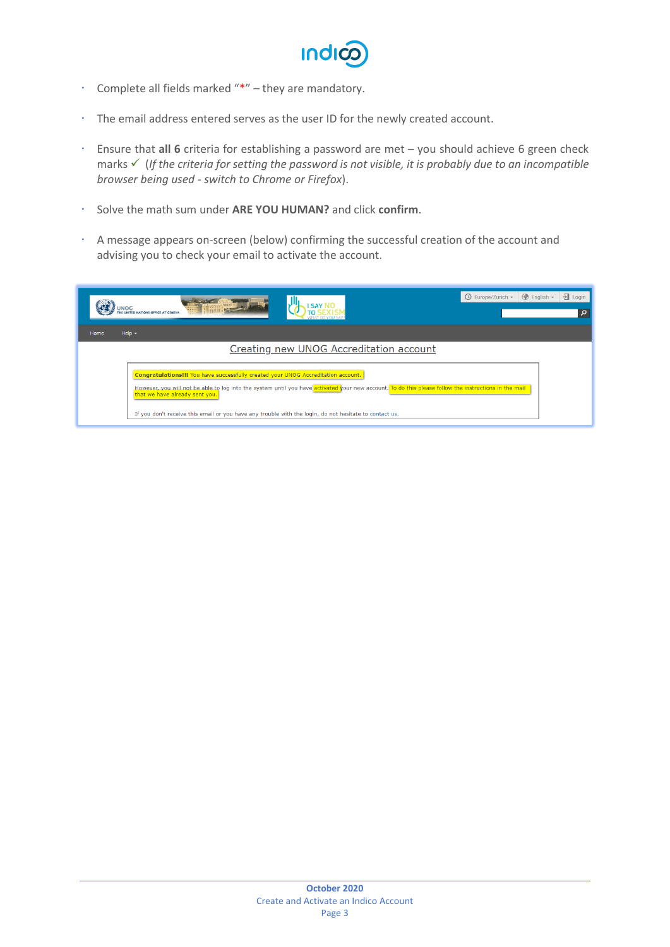

- Complete all fields marked "\*" they are mandatory.
- The email address entered serves as the user ID for the newly created account.
- Ensure that **all 6** criteria for establishing a password are met you should achieve 6 green check marks ✓ (*If the criteria for setting the password is not visible, it is probably due to an incompatible browser being used - switch to Chrome or Firefox*).
- Solve the math sum under **ARE YOU HUMAN?** and click **confirm**.
- A message appears on-screen (below) confirming the successful creation of the account and advising you to check your email to activate the account.

| UNOG                                           | <b>Times of</b>                                                                                                     |                                                                                                                                                       | <b>◯</b> Europe/Zurich ▼ | $\bigcirc$ English $\star$ | $\overline{\mathbf{a}}$ Login<br>0 |
|------------------------------------------------|---------------------------------------------------------------------------------------------------------------------|-------------------------------------------------------------------------------------------------------------------------------------------------------|--------------------------|----------------------------|------------------------------------|
| Help $\sim$<br>Home                            |                                                                                                                     |                                                                                                                                                       |                          |                            |                                    |
| <b>Creating new UNOG Accreditation account</b> |                                                                                                                     |                                                                                                                                                       |                          |                            |                                    |
|                                                | Congratulations!!! You have successfully created your UNOG Accreditation account.<br>that we have already sent you. | However, you will not be able to log into the system until you have activated your new account. To do this please follow the instructions in the mail |                          |                            |                                    |
|                                                |                                                                                                                     | If you don't receive this email or you have any trouble with the login, do not hesitate to contact us.                                                |                          |                            |                                    |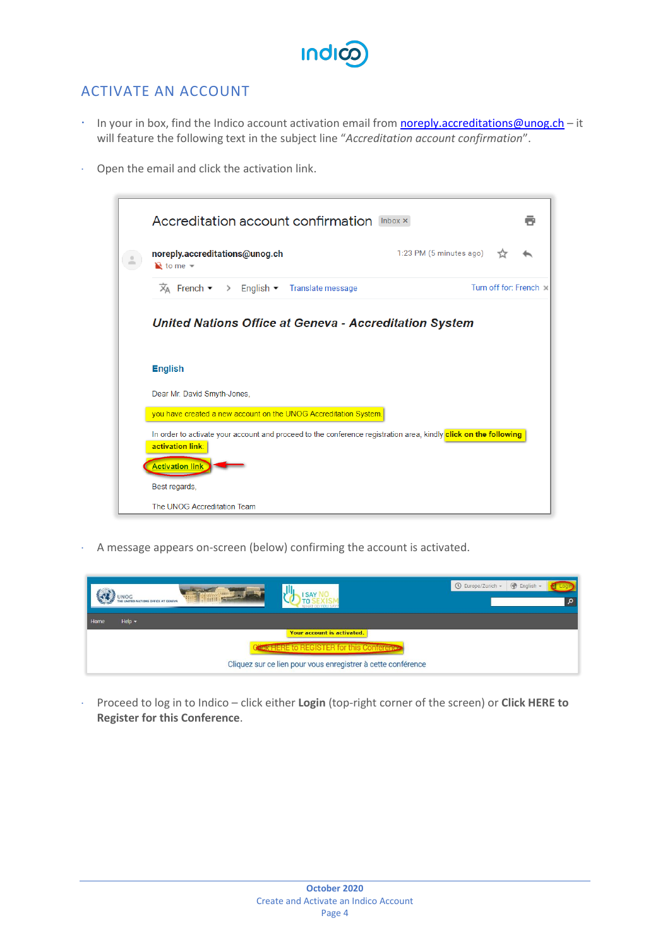## <span id="page-5-0"></span>ACTIVATE AN ACCOUNT

- In your in box, find the Indico account activation email from **noreply.accreditations@unog.ch** it will feature the following text in the subject line "*Accreditation account confirmation*".
- Open the email and click the activation link.



A message appears on-screen (below) confirming the account is activated.

| <b>UNOG</b><br>THE UNITED NATIONS OFFICE AT GENEVAL | JU<br><b>ISAY NO</b><br><b>TO S</b>                          | <b>B</b> English -<br>◯ Europe/Zurich ▼<br>$\circ$ |
|-----------------------------------------------------|--------------------------------------------------------------|----------------------------------------------------|
| $Heip -$<br>Home                                    |                                                              |                                                    |
|                                                     | Your account is activated.                                   |                                                    |
|                                                     | <b>Christ HERE to REGISTER for this Conference</b>           |                                                    |
|                                                     | Cliquez sur ce lien pour vous enregistrer à cette conférence |                                                    |

 Proceed to log in to Indico – click either **Login** (top-right corner of the screen) or **Click HERE to Register for this Conference**.